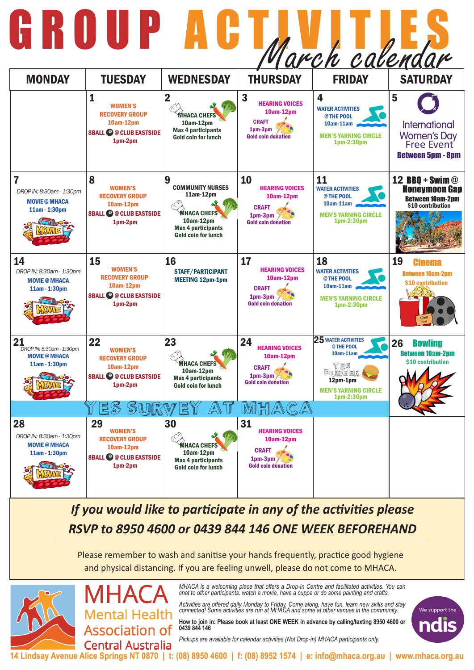*MHACA is a welcoming place that offers a Drop-In Centre and facilitated activities. You can chat to other participants, watch a movie, have a cuppa or do some painting and crafts.* 

*Activities are offered daily Monday to Friday. Come along, have fun, learn new skills and stay connected! Some activities are run at MHACA and some at other venues in the community.* 

**How to join in: Please book at least ONE WEEK in advance by calling/texting 8950 4600 or 0439 844 146**

*Pickups are available for calendar activities (Not Drop-in) MHACA participants only.*

We support the

 $\mathbf{r}$ 

**14 Lindsay Avenue Alice Springs NT 0870 | t: (08) 8950 4600 | f: (08) 8952 1574 | e: info@mhaca.org.au | www.mhaca.org.au**

## *If you would like to participate in any of the activities please RSVP to 8950 4600 or 0439 844 146 ONE WEEK BEFOREHAND*

| 6 R O I                                                                   |                                                                                                         |                                                                                                                                         |                                                                                                                | arch calendar                                                                                                                |                                                                                                |
|---------------------------------------------------------------------------|---------------------------------------------------------------------------------------------------------|-----------------------------------------------------------------------------------------------------------------------------------------|----------------------------------------------------------------------------------------------------------------|------------------------------------------------------------------------------------------------------------------------------|------------------------------------------------------------------------------------------------|
| <b>MONDAY</b>                                                             | <b>TUESDAY</b>                                                                                          | <b>WEDNESDAY</b>                                                                                                                        | <b>THURSDAY</b>                                                                                                | <b>FRIDAY</b>                                                                                                                | <b>SATURDAY</b>                                                                                |
|                                                                           | <b>WOMEN'S</b><br><b>RECOVERY GROUP</b><br>10am-12pm<br><b>8BALL @ @ CLUB EASTSIDE</b><br>$1pm-2pm$     | $\mathbf 2$<br><b>MHACA CHEFS</b><br>10am-12pm<br><b>Max 4 participants</b><br><b>Gold coin for lunch</b>                               | $\boldsymbol{3}$<br><b>HEARING VOICES</b><br>10am-12pm<br><b>CRAFT</b><br>1pm-3pm<br><b>Gold coin donation</b> | 4<br><b>WATER ACTIVITIES</b><br>@ THE POOL<br>10am-11am<br><b>MEN'S YARNING CIRCLE</b><br>1pm-2:30pm                         | 5<br><b>International</b><br>Women's Day<br>Free Event<br><b>Between 5pm - 8pm</b>             |
| 7<br>DROP IN: 8:30am - 1:30pm<br><b>MOVIE @ MHACA</b><br>11am - 1:30pm    | 8<br><b>WOMEN'S</b><br><b>RECOVERY GROUP</b><br>10am-12pm<br><b>8BALL © @ CLUB EASTSIDE</b><br>1pm-2pm  | 9<br><b>COMMUNITY NURSES</b><br>11am-12pm<br><b>MHACA CHEFS</b><br>10am-12pm<br><b>Max 4 participants</b><br><b>Gold coin for lunch</b> | 10<br><b>HEARING VOICES</b><br>10am-12pm<br><b>CRAFT</b><br>1pm-3pm<br><b>Gold coin donation</b>               | 11<br><b>WATER ACTIVITIES</b><br>@ THE POOL<br>10am-11am<br><b>MEN'S YARNING CIRCLE</b><br>1pm-2:30pm                        | <b>12 BBQ + Swim @</b><br><b>Honeymoon Gap</b><br><b>Between 10am-2pm</b><br>\$10 contribution |
| 14<br>DROP IN: 8:30am - 1:30pm<br><b>MOVIE @ MHACA</b><br>11am - 1:30pm   | 15<br><b>WOMEN'S</b><br><b>RECOVERY GROUP</b><br>10am-12pm<br><b>8BALL © @ CLUB EASTSIDE</b><br>1pm-2pm | 16<br><b>STAFF/PARTICIPANT</b><br><b>MEETING 12pm-1pm</b>                                                                               | 17<br><b>HEARING VOICES</b><br>10am-12pm<br><b>CRAFT</b><br>1pm-3pm<br><b>Gold coin donation</b>               | 18<br><b>WATER ACTIVITIES</b><br>@ THE POOL<br>10am-11am<br><b>MEN'S YARNING CIRCLE</b><br>1pm-2:30pm                        | 19<br><b>Cinema</b><br><b>Between 10am-2pm</b><br>\$10 contribution                            |
| 21<br>DROP IN: 8:30am - 1:30pm<br><b>MOVIE @ MHACA</b><br>$11am - 1:30pm$ | 22<br><b>WOMEN'S</b><br><b>RECOVERY GROUP</b><br>10am-12pm<br><b>8BALL @ @ CLUB EASTSIDE</b><br>1pm-2pm | 23<br><b>MHACA CHEFS</b><br>10am-12pm<br><b>Max 4 participants</b><br><b>Gold coin for lunch</b>                                        | 24<br><b>HEARING VOICES</b><br>10am-12pm<br><b>CRAFT</b><br>1pm-3pm<br><b>Gold coin donation</b>               | $25$ WATER ACTIVITIES<br>@ THE POOL<br>$10am-11am$<br>YES<br>BURGER<br>12pm-1pm<br><b>MEN'S YARNING CIRCLE</b><br>1pm-2:30pm | 26<br><b>Bowling</b><br><b>Between 10am-2pm</b><br>\$10 contribution                           |
| 28<br>DROP IN: 8:30am - 1:30pm<br><b>MOVIE @ MHACA</b><br>11am - 1:30pm   | 29<br><b>WOMEN'S</b><br><b>RECOVERY GROUP</b><br>10am-12pm<br><b>8BALL © @ CLUB EASTSIDE</b><br>1pm-2pm | $\mathbb{A}$<br>30<br><b>MHACA CHEFS</b><br>10am-12pm<br><b>Max 4 participants</b><br><b>Gold coin for lunch</b>                        | MHACA<br>31<br><b>HEARING VOICES</b><br>10am-12pm<br><b>CRAFT</b><br>$1pm-3pm$<br><b>Gold coin donation</b>    |                                                                                                                              |                                                                                                |

Please remember to wash and sanitise your hands frequently, practice good hygiene and physical distancing. If you are feeling unwell, please do not come to MHACA.



MHA **Mental Health Association of Central Australia**